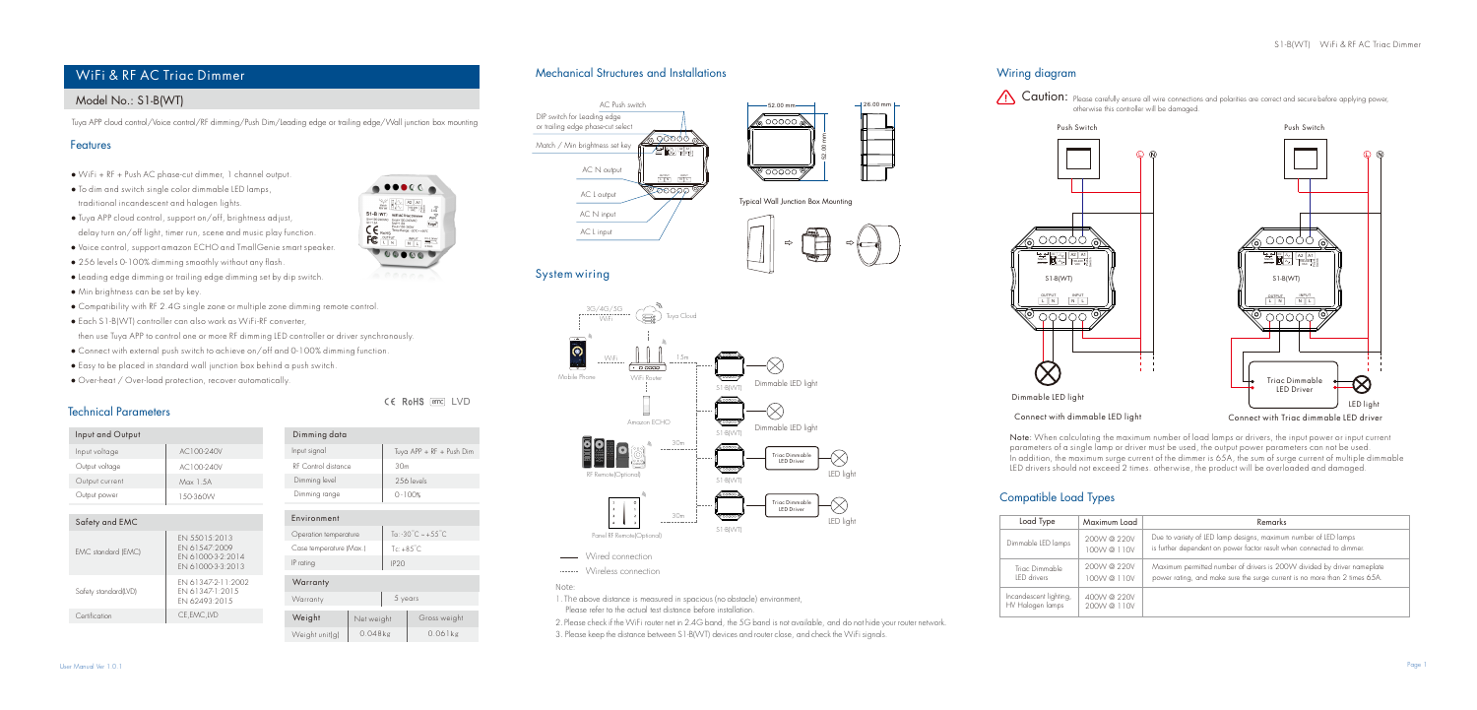## Model No.: S1-B(WT)

Tuya APP cloud control/Voice control/RF dimming/Push Dim/Leading edge or trailing edge/Wall junction box mounting

#### Features

- WiFi + RF + Push AC phase-cut dimmer, 1 channel output.
- To dim and switch single color dimmable LED lamps, traditional incandescent and halogen lights.
- Tuya APP cloud control, support on/off, brightness adjust, delay turn on/off light, timer run, scene and music play function.
- Voice control, support amazon ECHO and TmallGenie smart speaker.
- 256 levels 0-100% dimming smoothly without any flash.
- Leading edge dimming or trailing edge dimming set by dip switch.
- Min brightness can be set by key.
- Compatibility with RF 2.4G single zone or multiple zone dimming remote control.
- Each S1-B(WT) controller can also work as WiFi-RF converter, then use Tuya APP to control one or more RF dimming LED controller or driver synchronously.
- Connect with external push switch to achieve on/off and 0-100% dimming function.
- Easy to be placed in standard wall junction box behind a push switch.
- Over-heat / Over-load protection, recover automatically.

#### Technical Parameters

| Input and Output |            | Dimming data        |
|------------------|------------|---------------------|
| Input voltage    | AC100-240V | Input signal        |
| Output voltage   | AC100-240V | RF Control distance |
| Output current   | Max 1.5A   | Dimming level       |
| Output power     | 1.50-360W  | Dimming range       |
|                  |            |                     |

| Safety and EMC |  |
|----------------|--|
|                |  |

| <b>EMC</b> standard (EMC) | EN 55015:2013<br>EN 61.547.2009<br>EN 61000-3-2:2014<br>EN 61000-3-3:2013 |
|---------------------------|---------------------------------------------------------------------------|
| Safety standard(LVD)      | EN 61347-2-11-2002<br>FN 61347-1-2015<br>FN 62493:2015                    |
| Certification             | CE.EMC.LVD                                                                |



Tuya APP + RF + Push Dim

CE RoHS RMC IVD

30m 256 levels 0 -100%

Ta: -30°C ~ +55°C  $Tc: +85^{\circ}C$ 

Net weight Gross weight

Operation temperature Case temperature (Max.) Environment

**Warranty** 

Weight

 $IP$  rating  $IP20$ 

Warranty 5 years

0.048kg

Weight unit(g) 0.048kg 0.061kg







52.00 mm

 $\sim$ 

 $26.00 \text{ mm}$ 



**Wired connection** 

Wireless connection

#### Note:

System wiring

1. The above distance is measured in spacious (no obstacle) environment,

Please refer to the actual test distance before installation.

2.Please check if the WiFi router net in 2.4G band, the 5G band is not available, and do not hide your router network. 3. Please keep the distance between S1-B(WT) devices and router close, and check the WiFi signals.

#### Wiring diagram



Connect with dimmable LED light Connect with Triac dimmable LED driver

Note: When calculating the maximum number of load lamps or drivers, the input power or input current parameters of a single lamp or driver must be used, the output power parameters can not be used. In addition, the maximum surge current of the dimmer is 65A, the sum of surge current of multiple dimmable LED drivers should not exceed 2 times. otherwise, the product will be overloaded and damaged.

### Compatible Load Types

| Load Type                                  | Maximum Load             | Remarks                                                                                                                                               |
|--------------------------------------------|--------------------------|-------------------------------------------------------------------------------------------------------------------------------------------------------|
| Dimmable LED lamps                         | 200W@220V<br>100W@110V   | Due to variety of LED lamp designs, maximum number of LED lamps<br>is further dependent on power factor result when connected to dimmer.              |
| Triac Dimmable<br>LED drivers              | 200W @ 220V<br>100W@110V | Maximum permitted number of drivers is 200W divided by driver nameplate<br>power rating, and make sure the surge current is no more than 2 times 65A. |
| Incandescent lighting,<br>HV Halogen lamps | 400W @ 220V<br>200W@110V |                                                                                                                                                       |